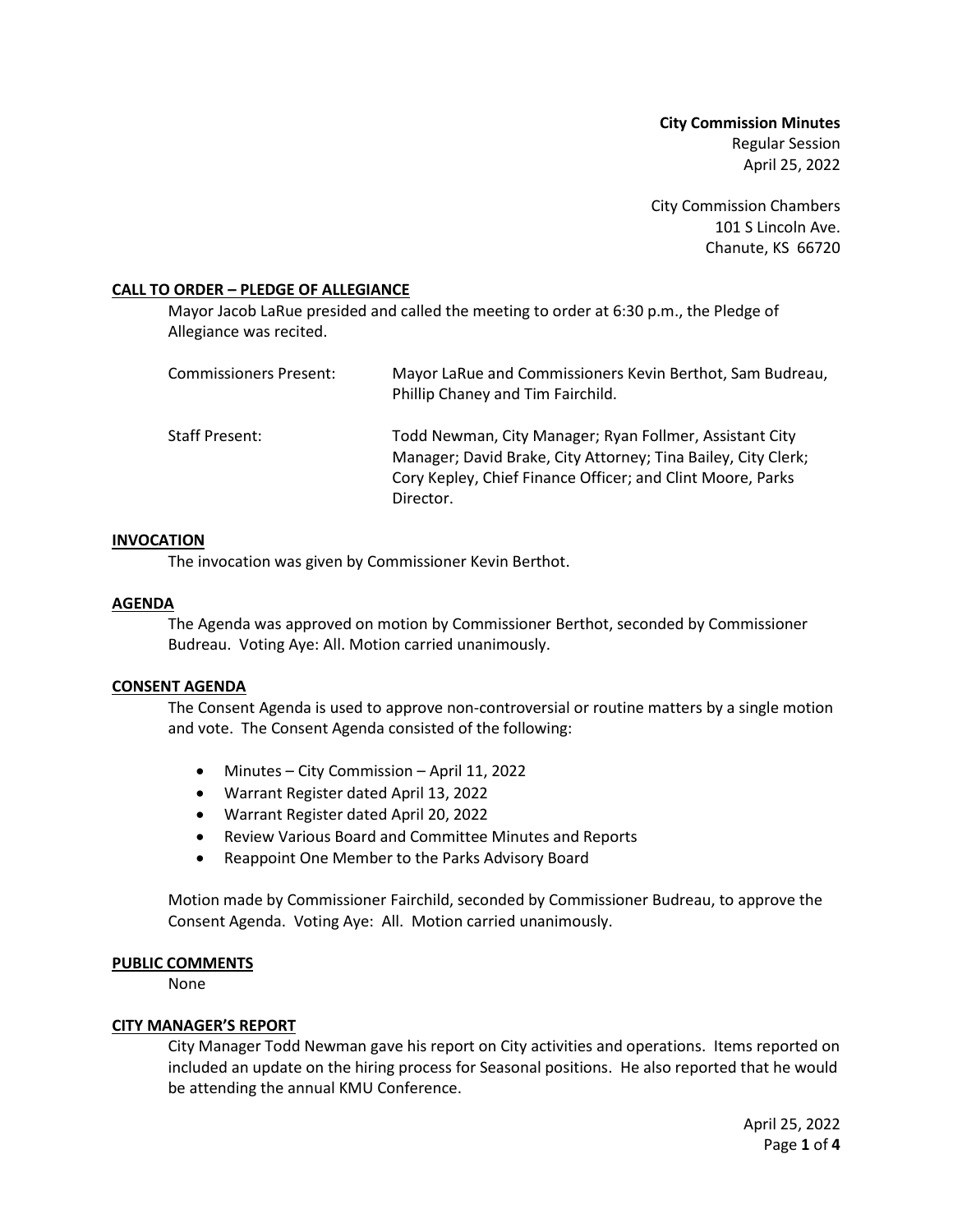**City Commission Minutes** Regular Session April 25, 2022

City Commission Chambers 101 S Lincoln Ave. Chanute, KS 66720

## **CALL TO ORDER – PLEDGE OF ALLEGIANCE**

Mayor Jacob LaRue presided and called the meeting to order at 6:30 p.m., the Pledge of Allegiance was recited.

| Commissioners Present: | Mayor LaRue and Commissioners Kevin Berthot, Sam Budreau,<br>Phillip Chaney and Tim Fairchild.                                                                                                      |
|------------------------|-----------------------------------------------------------------------------------------------------------------------------------------------------------------------------------------------------|
| Staff Present:         | Todd Newman, City Manager; Ryan Follmer, Assistant City<br>Manager; David Brake, City Attorney; Tina Bailey, City Clerk;<br>Cory Kepley, Chief Finance Officer; and Clint Moore, Parks<br>Director. |

### **INVOCATION**

The invocation was given by Commissioner Kevin Berthot.

## **AGENDA**

The Agenda was approved on motion by Commissioner Berthot, seconded by Commissioner Budreau. Voting Aye: All. Motion carried unanimously.

### **CONSENT AGENDA**

The Consent Agenda is used to approve non-controversial or routine matters by a single motion and vote. The Consent Agenda consisted of the following:

- Minutes City Commission April 11, 2022
- Warrant Register dated April 13, 2022
- Warrant Register dated April 20, 2022
- Review Various Board and Committee Minutes and Reports
- Reappoint One Member to the Parks Advisory Board

Motion made by Commissioner Fairchild, seconded by Commissioner Budreau, to approve the Consent Agenda. Voting Aye: All. Motion carried unanimously.

# **PUBLIC COMMENTS**

None

# **CITY MANAGER'S REPORT**

City Manager Todd Newman gave his report on City activities and operations. Items reported on included an update on the hiring process for Seasonal positions. He also reported that he would be attending the annual KMU Conference.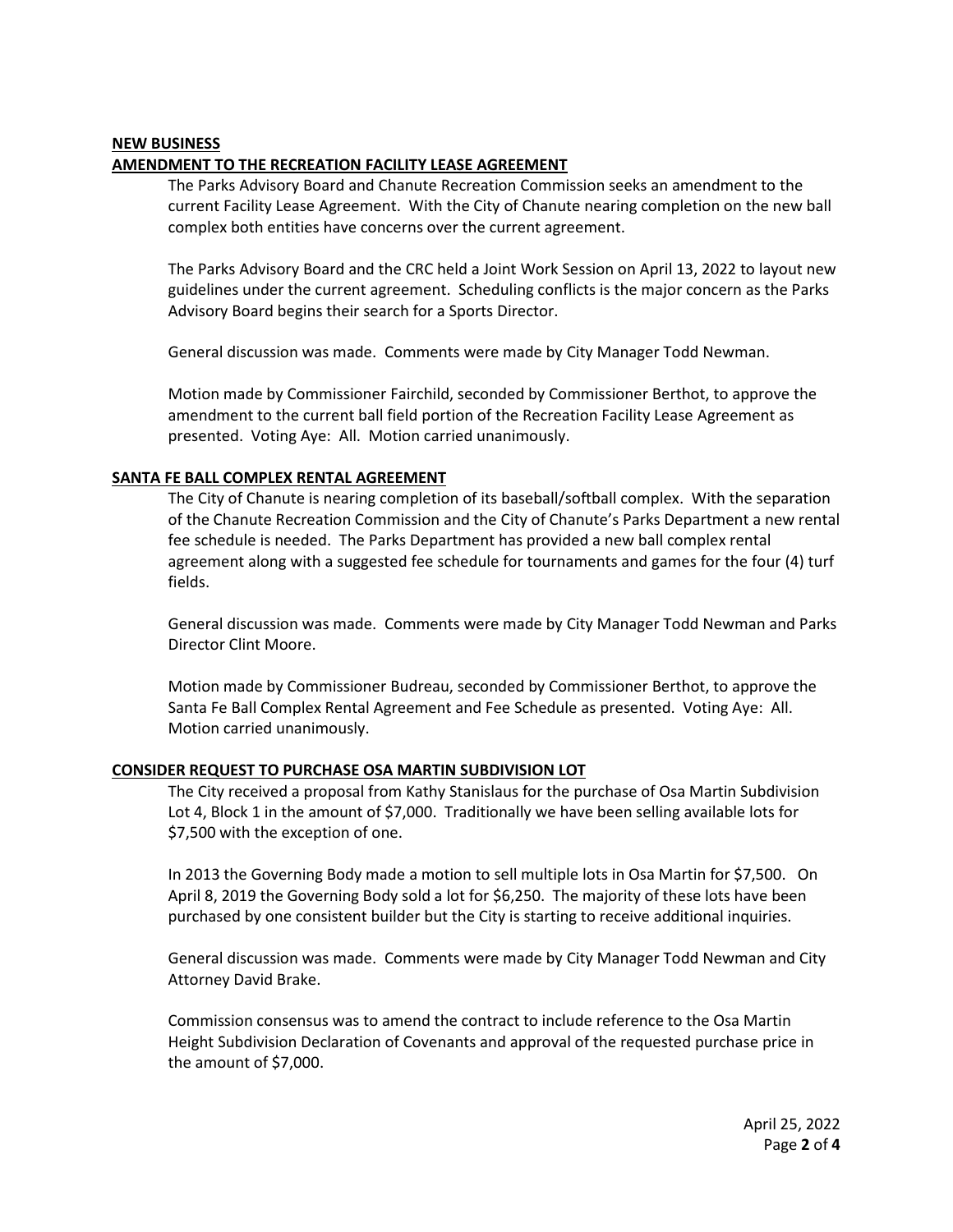### **NEW BUSINESS**

## **AMENDMENT TO THE RECREATION FACILITY LEASE AGREEMENT**

The Parks Advisory Board and Chanute Recreation Commission seeks an amendment to the current Facility Lease Agreement. With the City of Chanute nearing completion on the new ball complex both entities have concerns over the current agreement.

The Parks Advisory Board and the CRC held a Joint Work Session on April 13, 2022 to layout new guidelines under the current agreement. Scheduling conflicts is the major concern as the Parks Advisory Board begins their search for a Sports Director.

General discussion was made. Comments were made by City Manager Todd Newman.

Motion made by Commissioner Fairchild, seconded by Commissioner Berthot, to approve the amendment to the current ball field portion of the Recreation Facility Lease Agreement as presented. Voting Aye: All. Motion carried unanimously.

## **SANTA FE BALL COMPLEX RENTAL AGREEMENT**

The City of Chanute is nearing completion of its baseball/softball complex. With the separation of the Chanute Recreation Commission and the City of Chanute's Parks Department a new rental fee schedule is needed. The Parks Department has provided a new ball complex rental agreement along with a suggested fee schedule for tournaments and games for the four (4) turf fields.

General discussion was made. Comments were made by City Manager Todd Newman and Parks Director Clint Moore.

Motion made by Commissioner Budreau, seconded by Commissioner Berthot, to approve the Santa Fe Ball Complex Rental Agreement and Fee Schedule as presented. Voting Aye: All. Motion carried unanimously.

### **CONSIDER REQUEST TO PURCHASE OSA MARTIN SUBDIVISION LOT**

The City received a proposal from Kathy Stanislaus for the purchase of Osa Martin Subdivision Lot 4, Block 1 in the amount of \$7,000. Traditionally we have been selling available lots for \$7,500 with the exception of one.

In 2013 the Governing Body made a motion to sell multiple lots in Osa Martin for \$7,500. On April 8, 2019 the Governing Body sold a lot for \$6,250. The majority of these lots have been purchased by one consistent builder but the City is starting to receive additional inquiries.

General discussion was made. Comments were made by City Manager Todd Newman and City Attorney David Brake.

Commission consensus was to amend the contract to include reference to the Osa Martin Height Subdivision Declaration of Covenants and approval of the requested purchase price in the amount of \$7,000.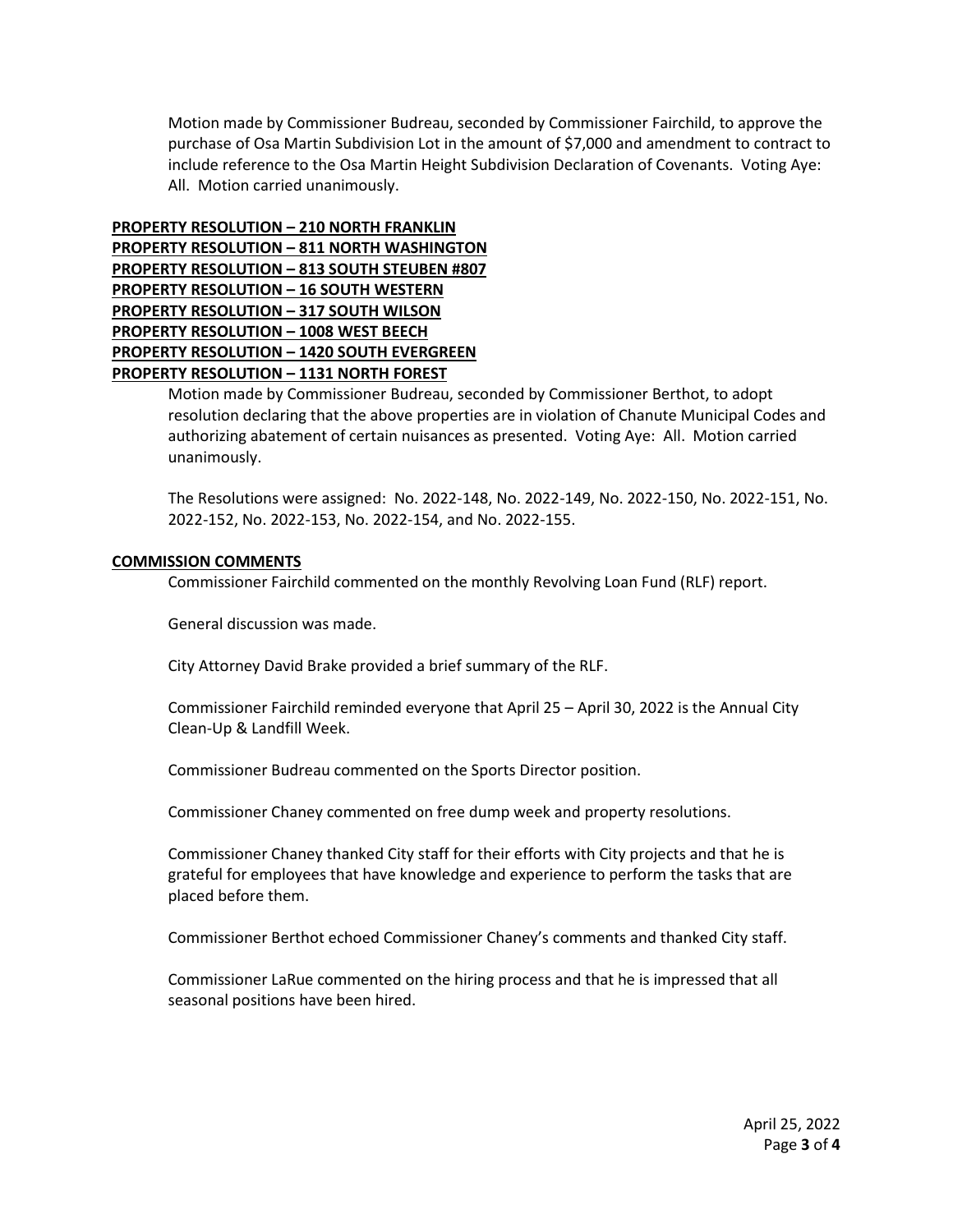Motion made by Commissioner Budreau, seconded by Commissioner Fairchild, to approve the purchase of Osa Martin Subdivision Lot in the amount of \$7,000 and amendment to contract to include reference to the Osa Martin Height Subdivision Declaration of Covenants. Voting Aye: All. Motion carried unanimously.

**PROPERTY RESOLUTION – 210 NORTH FRANKLIN PROPERTY RESOLUTION – 811 NORTH WASHINGTON PROPERTY RESOLUTION – 813 SOUTH STEUBEN #807 PROPERTY RESOLUTION – 16 SOUTH WESTERN PROPERTY RESOLUTION – 317 SOUTH WILSON PROPERTY RESOLUTION – 1008 WEST BEECH PROPERTY RESOLUTION – 1420 SOUTH EVERGREEN PROPERTY RESOLUTION – 1131 NORTH FOREST**

> Motion made by Commissioner Budreau, seconded by Commissioner Berthot, to adopt resolution declaring that the above properties are in violation of Chanute Municipal Codes and authorizing abatement of certain nuisances as presented. Voting Aye: All. Motion carried unanimously.

> The Resolutions were assigned: No. 2022-148, No. 2022-149, No. 2022-150, No. 2022-151, No. 2022-152, No. 2022-153, No. 2022-154, and No. 2022-155.

## **COMMISSION COMMENTS**

Commissioner Fairchild commented on the monthly Revolving Loan Fund (RLF) report.

General discussion was made.

City Attorney David Brake provided a brief summary of the RLF.

Commissioner Fairchild reminded everyone that April 25 – April 30, 2022 is the Annual City Clean-Up & Landfill Week.

Commissioner Budreau commented on the Sports Director position.

Commissioner Chaney commented on free dump week and property resolutions.

Commissioner Chaney thanked City staff for their efforts with City projects and that he is grateful for employees that have knowledge and experience to perform the tasks that are placed before them.

Commissioner Berthot echoed Commissioner Chaney's comments and thanked City staff.

Commissioner LaRue commented on the hiring process and that he is impressed that all seasonal positions have been hired.